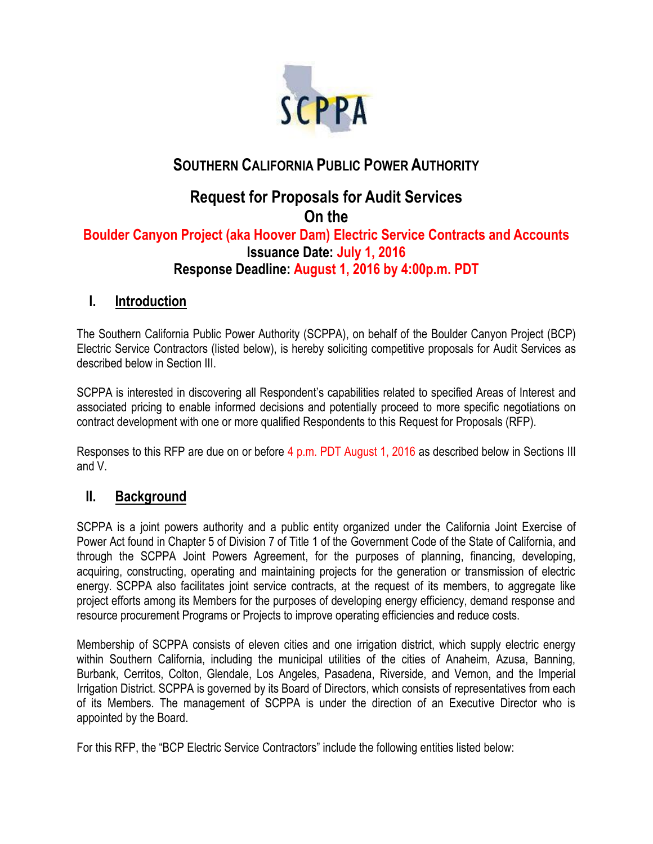

## **SOUTHERN CALIFORNIA PUBLIC POWER AUTHORITY**

# **Request for Proposals for Audit Services On the**

### **Boulder Canyon Project (aka Hoover Dam) Electric Service Contracts and Accounts Issuance Date: July 1, 2016 Response Deadline: August 1, 2016 by 4:00p.m. PDT**

### **I. Introduction**

The Southern California Public Power Authority (SCPPA), on behalf of the Boulder Canyon Project (BCP) Electric Service Contractors (listed below), is hereby soliciting competitive proposals for Audit Services as described below in Section III.

SCPPA is interested in discovering all Respondent's capabilities related to specified Areas of Interest and associated pricing to enable informed decisions and potentially proceed to more specific negotiations on contract development with one or more qualified Respondents to this Request for Proposals (RFP).

Responses to this RFP are due on or before 4 p.m. PDT August 1, 2016 as described below in Sections III and V.

### **II. Background**

SCPPA is a joint powers authority and a public entity organized under the California Joint Exercise of Power Act found in Chapter 5 of Division 7 of Title 1 of the Government Code of the State of California, and through the SCPPA Joint Powers Agreement, for the purposes of planning, financing, developing, acquiring, constructing, operating and maintaining projects for the generation or transmission of electric energy. SCPPA also facilitates joint service contracts, at the request of its members, to aggregate like project efforts among its Members for the purposes of developing energy efficiency, demand response and resource procurement Programs or Projects to improve operating efficiencies and reduce costs.

Membership of SCPPA consists of eleven cities and one irrigation district, which supply electric energy within Southern California, including the municipal utilities of the cities of Anaheim, Azusa, Banning, Burbank, Cerritos, Colton, Glendale, Los Angeles, Pasadena, Riverside, and Vernon, and the Imperial Irrigation District. SCPPA is governed by its Board of Directors, which consists of representatives from each of its Members. The management of SCPPA is under the direction of an Executive Director who is appointed by the Board.

For this RFP, the "BCP Electric Service Contractors" include the following entities listed below: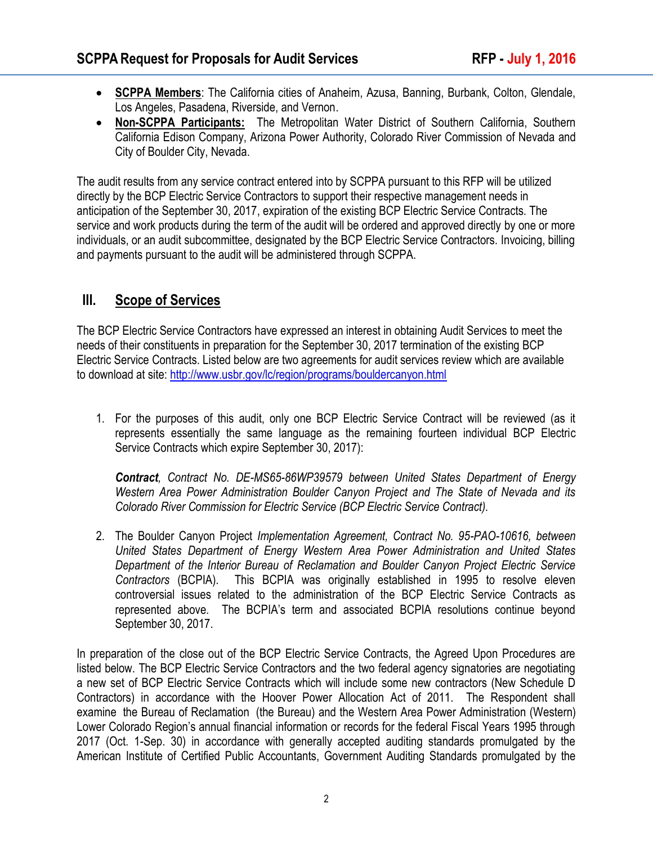- **SCPPA Members**: The California cities of Anaheim, Azusa, Banning, Burbank, Colton, Glendale, Los Angeles, Pasadena, Riverside, and Vernon.
- **Non-SCPPA Participants:** The Metropolitan Water District of Southern California, Southern California Edison Company, Arizona Power Authority, Colorado River Commission of Nevada and City of Boulder City, Nevada.

The audit results from any service contract entered into by SCPPA pursuant to this RFP will be utilized directly by the BCP Electric Service Contractors to support their respective management needs in anticipation of the September 30, 2017, expiration of the existing BCP Electric Service Contracts. The service and work products during the term of the audit will be ordered and approved directly by one or more individuals, or an audit subcommittee, designated by the BCP Electric Service Contractors. Invoicing, billing and payments pursuant to the audit will be administered through SCPPA.

### **III. Scope of Services**

The BCP Electric Service Contractors have expressed an interest in obtaining Audit Services to meet the needs of their constituents in preparation for the September 30, 2017 termination of the existing BCP Electric Service Contracts. Listed below are two agreements for audit services review which are available to download at site:<http://www.usbr.gov/lc/region/programs/bouldercanyon.html>

1. For the purposes of this audit, only one BCP Electric Service Contract will be reviewed (as it represents essentially the same language as the remaining fourteen individual BCP Electric Service Contracts which expire September 30, 2017):

*Contract, Contract No. DE-MS65-86WP39579 between United States Department of Energy Western Area Power Administration Boulder Canyon Project and The State of Nevada and its Colorado River Commission for Electric Service (BCP Electric Service Contract).* 

2. The Boulder Canyon Project *Implementation Agreement, Contract No. 95-PAO-10616, between United States Department of Energy Western Area Power Administration and United States Department of the Interior Bureau of Reclamation and Boulder Canyon Project Electric Service Contractors* (BCPIA). This BCPIA was originally established in 1995 to resolve eleven controversial issues related to the administration of the BCP Electric Service Contracts as represented above. The BCPIA's term and associated BCPIA resolutions continue beyond September 30, 2017.

In preparation of the close out of the BCP Electric Service Contracts, the Agreed Upon Procedures are listed below. The BCP Electric Service Contractors and the two federal agency signatories are negotiating a new set of BCP Electric Service Contracts which will include some new contractors (New Schedule D Contractors) in accordance with the Hoover Power Allocation Act of 2011. The Respondent shall examine the Bureau of Reclamation (the Bureau) and the Western Area Power Administration (Western) Lower Colorado Region's annual financial information or records for the federal Fiscal Years 1995 through 2017 (Oct. 1-Sep. 30) in accordance with generally accepted auditing standards promulgated by the American Institute of Certified Public Accountants, Government Auditing Standards promulgated by the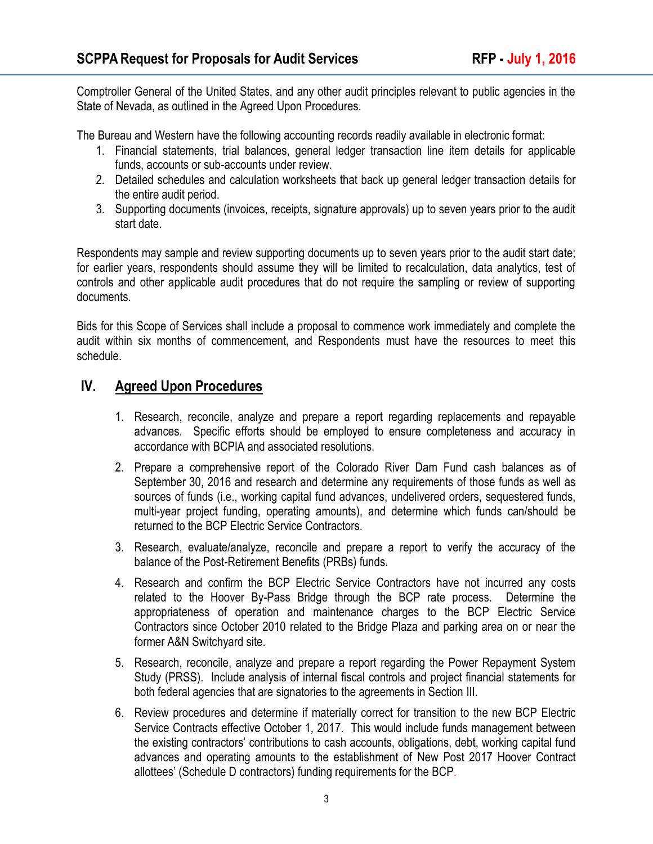Comptroller General of the United States, and any other audit principles relevant to public agencies in the State of Nevada, as outlined in the Agreed Upon Procedures.

The Bureau and Western have the following accounting records readily available in electronic format:

- 1. Financial statements, trial balances, general ledger transaction line item details for applicable funds, accounts or sub-accounts under review.
- 2. Detailed schedules and calculation worksheets that back up general ledger transaction details for the entire audit period.
- 3. Supporting documents (invoices, receipts, signature approvals) up to seven years prior to the audit start date.

Respondents may sample and review supporting documents up to seven years prior to the audit start date; for earlier years, respondents should assume they will be limited to recalculation, data analytics, test of controls and other applicable audit procedures that do not require the sampling or review of supporting documents.

Bids for this Scope of Services shall include a proposal to commence work immediately and complete the audit within six months of commencement, and Respondents must have the resources to meet this schedule.

### **IV. Agreed Upon Procedures**

- 1. Research, reconcile, analyze and prepare a report regarding replacements and repayable advances. Specific efforts should be employed to ensure completeness and accuracy in accordance with BCPIA and associated resolutions.
- 2. Prepare a comprehensive report of the Colorado River Dam Fund cash balances as of September 30, 2016 and research and determine any requirements of those funds as well as sources of funds (i.e., working capital fund advances, undelivered orders, sequestered funds, multi-year project funding, operating amounts), and determine which funds can/should be returned to the BCP Electric Service Contractors.
- 3. Research, evaluate/analyze, reconcile and prepare a report to verify the accuracy of the balance of the Post-Retirement Benefits (PRBs) funds.
- 4. Research and confirm the BCP Electric Service Contractors have not incurred any costs related to the Hoover By-Pass Bridge through the BCP rate process. Determine the appropriateness of operation and maintenance charges to the BCP Electric Service Contractors since October 2010 related to the Bridge Plaza and parking area on or near the former A&N Switchyard site.
- 5. Research, reconcile, analyze and prepare a report regarding the Power Repayment System Study (PRSS). Include analysis of internal fiscal controls and project financial statements for both federal agencies that are signatories to the agreements in Section III.
- 6. Review procedures and determine if materially correct for transition to the new BCP Electric Service Contracts effective October 1, 2017. This would include funds management between the existing contractors' contributions to cash accounts, obligations, debt, working capital fund advances and operating amounts to the establishment of New Post 2017 Hoover Contract allottees' (Schedule D contractors) funding requirements for the BCP.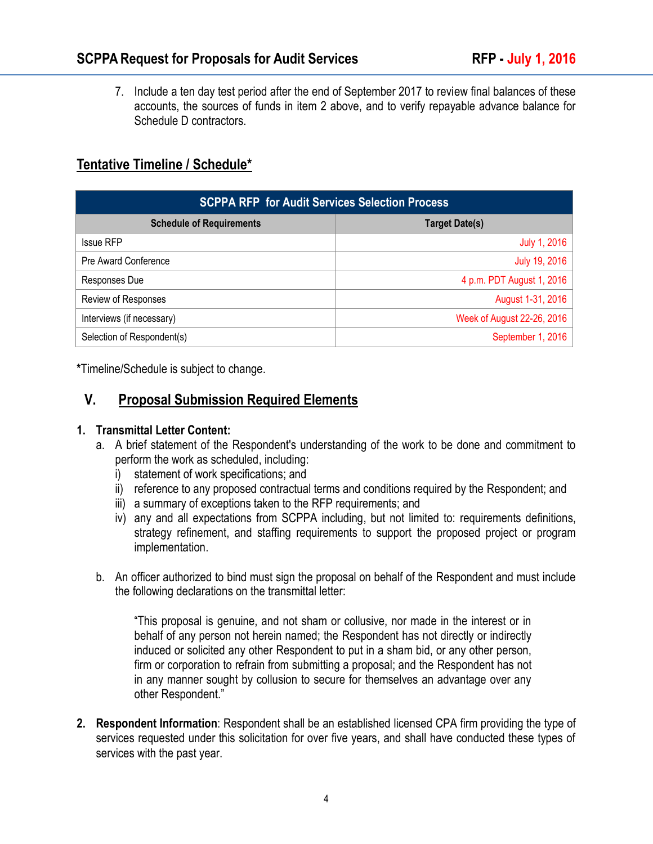7. Include a ten day test period after the end of September 2017 to review final balances of these accounts, the sources of funds in item 2 above, and to verify repayable advance balance for Schedule D contractors.

### **Tentative Timeline / Schedule\***

| <b>SCPPA RFP</b> for Audit Services Selection Process |                            |
|-------------------------------------------------------|----------------------------|
| <b>Schedule of Requirements</b>                       | <b>Target Date(s)</b>      |
| <b>Issue RFP</b>                                      | July 1, 2016               |
| Pre Award Conference                                  | July 19, 2016              |
| Responses Due                                         | 4 p.m. PDT August 1, 2016  |
| Review of Responses                                   | August 1-31, 2016          |
| Interviews (if necessary)                             | Week of August 22-26, 2016 |
| Selection of Respondent(s)                            | September 1, 2016          |

**\***Timeline/Schedule is subject to change.

### **V. Proposal Submission Required Elements**

#### **1. Transmittal Letter Content:**

- a. A brief statement of the Respondent's understanding of the work to be done and commitment to perform the work as scheduled, including:
	- i) statement of work specifications; and
	- ii) reference to any proposed contractual terms and conditions required by the Respondent; and
	- iii) a summary of exceptions taken to the RFP requirements; and
	- iv) any and all expectations from SCPPA including, but not limited to: requirements definitions, strategy refinement, and staffing requirements to support the proposed project or program implementation.
- b. An officer authorized to bind must sign the proposal on behalf of the Respondent and must include the following declarations on the transmittal letter:

"This proposal is genuine, and not sham or collusive, nor made in the interest or in behalf of any person not herein named; the Respondent has not directly or indirectly induced or solicited any other Respondent to put in a sham bid, or any other person, firm or corporation to refrain from submitting a proposal; and the Respondent has not in any manner sought by collusion to secure for themselves an advantage over any other Respondent."

**2. Respondent Information**: Respondent shall be an established licensed CPA firm providing the type of services requested under this solicitation for over five years, and shall have conducted these types of services with the past year.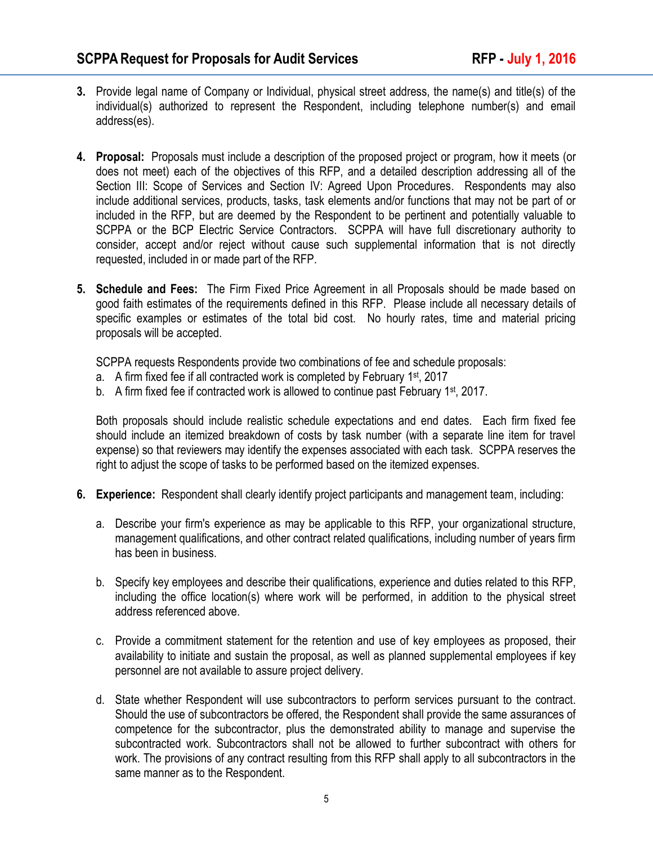- **3.** Provide legal name of Company or Individual, physical street address, the name(s) and title(s) of the individual(s) authorized to represent the Respondent, including telephone number(s) and email address(es).
- **4. Proposal:** Proposals must include a description of the proposed project or program, how it meets (or does not meet) each of the objectives of this RFP, and a detailed description addressing all of the Section III: Scope of Services and Section IV: Agreed Upon Procedures. Respondents may also include additional services, products, tasks, task elements and/or functions that may not be part of or included in the RFP, but are deemed by the Respondent to be pertinent and potentially valuable to SCPPA or the BCP Electric Service Contractors. SCPPA will have full discretionary authority to consider, accept and/or reject without cause such supplemental information that is not directly requested, included in or made part of the RFP.
- **5. Schedule and Fees:** The Firm Fixed Price Agreement in all Proposals should be made based on good faith estimates of the requirements defined in this RFP. Please include all necessary details of specific examples or estimates of the total bid cost. No hourly rates, time and material pricing proposals will be accepted.

SCPPA requests Respondents provide two combinations of fee and schedule proposals:

- a. A firm fixed fee if all contracted work is completed by February 1<sup>st</sup>, 2017
- b. A firm fixed fee if contracted work is allowed to continue past February  $1<sup>st</sup>$ , 2017.

Both proposals should include realistic schedule expectations and end dates. Each firm fixed fee should include an itemized breakdown of costs by task number (with a separate line item for travel expense) so that reviewers may identify the expenses associated with each task. SCPPA reserves the right to adjust the scope of tasks to be performed based on the itemized expenses.

- **6. Experience:** Respondent shall clearly identify project participants and management team, including:
	- a. Describe your firm's experience as may be applicable to this RFP, your organizational structure, management qualifications, and other contract related qualifications, including number of years firm has been in business.
	- b. Specify key employees and describe their qualifications, experience and duties related to this RFP, including the office location(s) where work will be performed, in addition to the physical street address referenced above.
	- c. Provide a commitment statement for the retention and use of key employees as proposed, their availability to initiate and sustain the proposal, as well as planned supplemental employees if key personnel are not available to assure project delivery.
	- d. State whether Respondent will use subcontractors to perform services pursuant to the contract. Should the use of subcontractors be offered, the Respondent shall provide the same assurances of competence for the subcontractor, plus the demonstrated ability to manage and supervise the subcontracted work. Subcontractors shall not be allowed to further subcontract with others for work. The provisions of any contract resulting from this RFP shall apply to all subcontractors in the same manner as to the Respondent.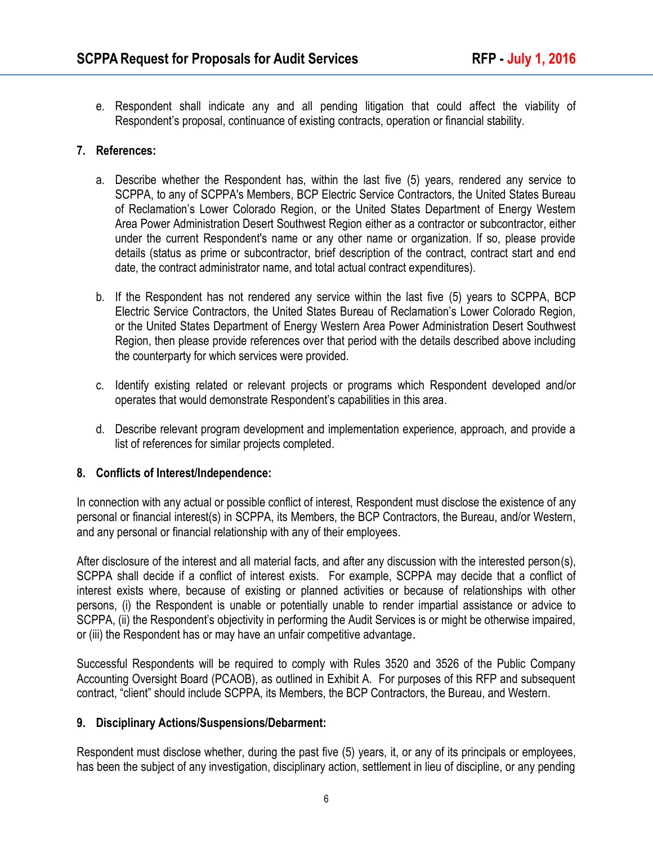e. Respondent shall indicate any and all pending litigation that could affect the viability of Respondent's proposal, continuance of existing contracts, operation or financial stability.

#### **7. References:**

- a. Describe whether the Respondent has, within the last five (5) years, rendered any service to SCPPA, to any of SCPPA's Members, BCP Electric Service Contractors, the United States Bureau of Reclamation's Lower Colorado Region, or the United States Department of Energy Western Area Power Administration Desert Southwest Region either as a contractor or subcontractor, either under the current Respondent's name or any other name or organization. If so, please provide details (status as prime or subcontractor, brief description of the contract, contract start and end date, the contract administrator name, and total actual contract expenditures).
- b. If the Respondent has not rendered any service within the last five (5) years to SCPPA, BCP Electric Service Contractors, the United States Bureau of Reclamation's Lower Colorado Region, or the United States Department of Energy Western Area Power Administration Desert Southwest Region, then please provide references over that period with the details described above including the counterparty for which services were provided.
- c. Identify existing related or relevant projects or programs which Respondent developed and/or operates that would demonstrate Respondent's capabilities in this area.
- d. Describe relevant program development and implementation experience, approach, and provide a list of references for similar projects completed.

#### **8. Conflicts of Interest/Independence:**

In connection with any actual or possible conflict of interest, Respondent must disclose the existence of any personal or financial interest(s) in SCPPA, its Members, the BCP Contractors, the Bureau, and/or Western, and any personal or financial relationship with any of their employees.

After disclosure of the interest and all material facts, and after any discussion with the interested person(s), SCPPA shall decide if a conflict of interest exists. For example, SCPPA may decide that a conflict of interest exists where, because of existing or planned activities or because of relationships with other persons, (i) the Respondent is unable or potentially unable to render impartial assistance or advice to SCPPA, (ii) the Respondent's objectivity in performing the Audit Services is or might be otherwise impaired, or (iii) the Respondent has or may have an unfair competitive advantage.

Successful Respondents will be required to comply with Rules 3520 and 3526 of the Public Company Accounting Oversight Board (PCAOB), as outlined in Exhibit A. For purposes of this RFP and subsequent contract, "client" should include SCPPA, its Members, the BCP Contractors, the Bureau, and Western.

#### **9. Disciplinary Actions/Suspensions/Debarment:**

Respondent must disclose whether, during the past five (5) years, it, or any of its principals or employees, has been the subject of any investigation, disciplinary action, settlement in lieu of discipline, or any pending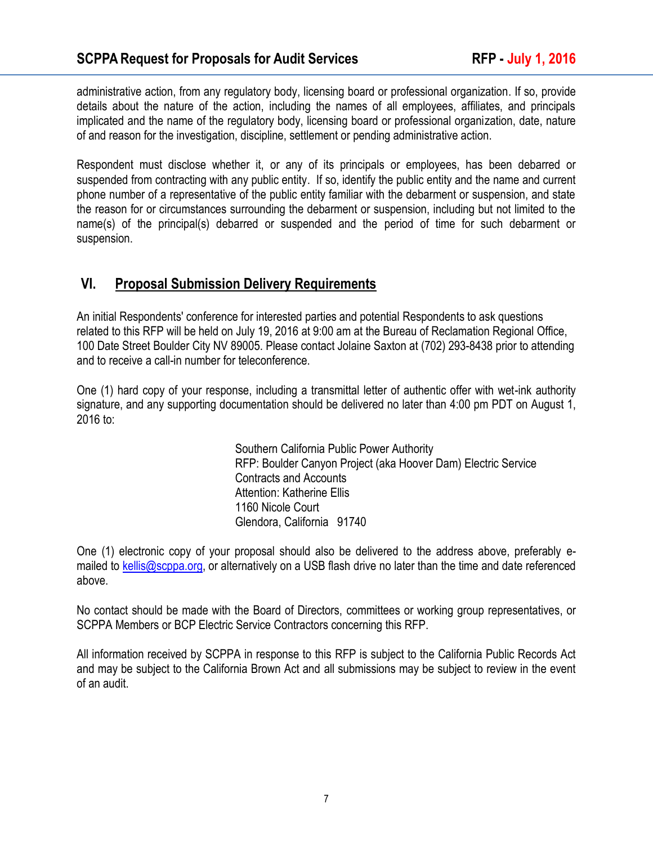administrative action, from any regulatory body, licensing board or professional organization. If so, provide details about the nature of the action, including the names of all employees, affiliates, and principals implicated and the name of the regulatory body, licensing board or professional organization, date, nature of and reason for the investigation, discipline, settlement or pending administrative action.

Respondent must disclose whether it, or any of its principals or employees, has been debarred or suspended from contracting with any public entity. If so, identify the public entity and the name and current phone number of a representative of the public entity familiar with the debarment or suspension, and state the reason for or circumstances surrounding the debarment or suspension, including but not limited to the name(s) of the principal(s) debarred or suspended and the period of time for such debarment or suspension.

### **VI. Proposal Submission Delivery Requirements**

An initial Respondents' conference for interested parties and potential Respondents to ask questions related to this RFP will be held on July 19, 2016 at 9:00 am at the Bureau of Reclamation Regional Office, 100 Date Street Boulder City NV 89005. Please contact Jolaine Saxton at (702) 293-8438 prior to attending and to receive a call-in number for teleconference.

One (1) hard copy of your response, including a transmittal letter of authentic offer with wet-ink authority signature, and any supporting documentation should be delivered no later than 4:00 pm PDT on August 1, 2016 to:

> Southern California Public Power Authority RFP: Boulder Canyon Project (aka Hoover Dam) Electric Service Contracts and Accounts Attention: Katherine Ellis 1160 Nicole Court Glendora, California 91740

One (1) electronic copy of your proposal should also be delivered to the address above, preferably emailed to [kellis@scppa.org,](mailto:shomer@scppa.org) or alternatively on a USB flash drive no later than the time and date referenced above.

No contact should be made with the Board of Directors, committees or working group representatives, or SCPPA Members or BCP Electric Service Contractors concerning this RFP.

All information received by SCPPA in response to this RFP is subject to the California Public Records Act and may be subject to the California Brown Act and all submissions may be subject to review in the event of an audit.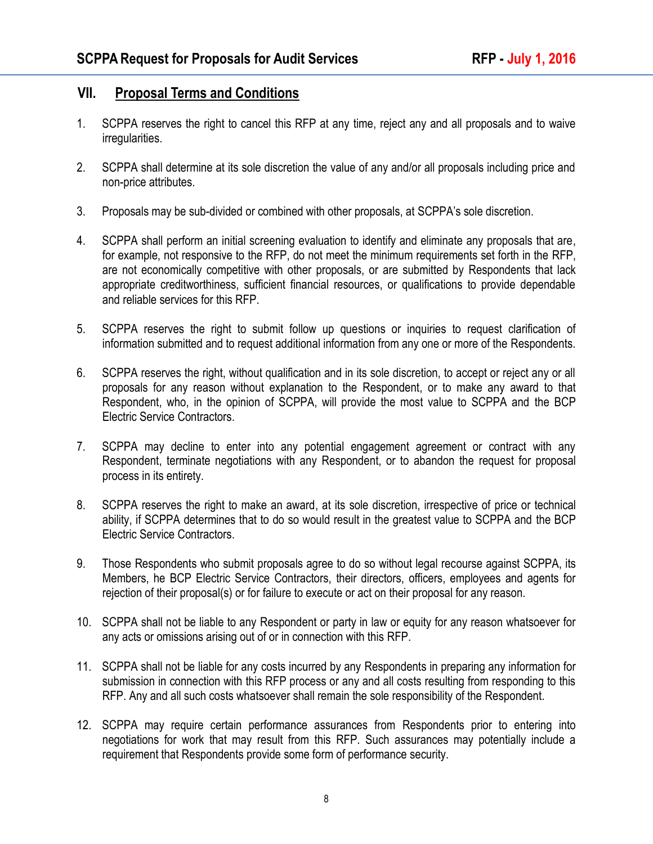### **VII. Proposal Terms and Conditions**

- 1. SCPPA reserves the right to cancel this RFP at any time, reject any and all proposals and to waive irregularities.
- 2. SCPPA shall determine at its sole discretion the value of any and/or all proposals including price and non-price attributes.
- 3. Proposals may be sub-divided or combined with other proposals, at SCPPA's sole discretion.
- 4. SCPPA shall perform an initial screening evaluation to identify and eliminate any proposals that are, for example, not responsive to the RFP, do not meet the minimum requirements set forth in the RFP, are not economically competitive with other proposals, or are submitted by Respondents that lack appropriate creditworthiness, sufficient financial resources, or qualifications to provide dependable and reliable services for this RFP.
- 5. SCPPA reserves the right to submit follow up questions or inquiries to request clarification of information submitted and to request additional information from any one or more of the Respondents.
- 6. SCPPA reserves the right, without qualification and in its sole discretion, to accept or reject any or all proposals for any reason without explanation to the Respondent, or to make any award to that Respondent, who, in the opinion of SCPPA, will provide the most value to SCPPA and the BCP Electric Service Contractors.
- 7. SCPPA may decline to enter into any potential engagement agreement or contract with any Respondent, terminate negotiations with any Respondent, or to abandon the request for proposal process in its entirety.
- 8. SCPPA reserves the right to make an award, at its sole discretion, irrespective of price or technical ability, if SCPPA determines that to do so would result in the greatest value to SCPPA and the BCP Electric Service Contractors.
- 9. Those Respondents who submit proposals agree to do so without legal recourse against SCPPA, its Members, he BCP Electric Service Contractors, their directors, officers, employees and agents for rejection of their proposal(s) or for failure to execute or act on their proposal for any reason.
- 10. SCPPA shall not be liable to any Respondent or party in law or equity for any reason whatsoever for any acts or omissions arising out of or in connection with this RFP.
- 11. SCPPA shall not be liable for any costs incurred by any Respondents in preparing any information for submission in connection with this RFP process or any and all costs resulting from responding to this RFP. Any and all such costs whatsoever shall remain the sole responsibility of the Respondent.
- 12. SCPPA may require certain performance assurances from Respondents prior to entering into negotiations for work that may result from this RFP. Such assurances may potentially include a requirement that Respondents provide some form of performance security.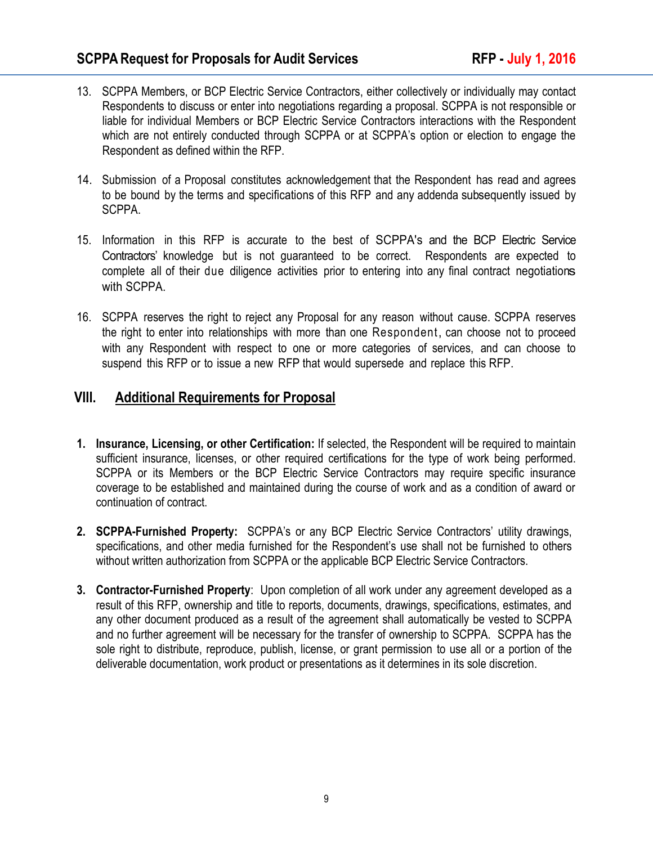- 13. SCPPA Members, or BCP Electric Service Contractors, either collectively or individually may contact Respondents to discuss or enter into negotiations regarding a proposal. SCPPA is not responsible or liable for individual Members or BCP Electric Service Contractors interactions with the Respondent which are not entirely conducted through SCPPA or at SCPPA's option or election to engage the Respondent as defined within the RFP.
- 14. Submission of a Proposal constitutes acknowledgement that the Respondent has read and agrees to be bound by the terms and specifications of this RFP and any addenda subsequently issued by SCPPA.
- 15. Information in this RFP is accurate to the best of SCPPA's and the BCP Electric Service Contractors' knowledge but is not guaranteed to be correct. Respondents are expected to complete all of their due diligence activities prior to entering into any final contract negotiations with SCPPA.
- 16. SCPPA reserves the right to reject any Proposal for any reason without cause. SCPPA reserves the right to enter into relationships with more than one Respondent, can choose not to proceed with any Respondent with respect to one or more categories of services, and can choose to suspend this RFP or to issue a new RFP that would supersede and replace this RFP.

### **VIII. Additional Requirements for Proposal**

- **1. Insurance, Licensing, or other Certification:** If selected, the Respondent will be required to maintain sufficient insurance, licenses, or other required certifications for the type of work being performed. SCPPA or its Members or the BCP Electric Service Contractors may require specific insurance coverage to be established and maintained during the course of work and as a condition of award or continuation of contract.
- **2. SCPPA-Furnished Property:** SCPPA's or any BCP Electric Service Contractors' utility drawings, specifications, and other media furnished for the Respondent's use shall not be furnished to others without written authorization from SCPPA or the applicable BCP Electric Service Contractors.
- **3. Contractor-Furnished Property**: Upon completion of all work under any agreement developed as a result of this RFP, ownership and title to reports, documents, drawings, specifications, estimates, and any other document produced as a result of the agreement shall automatically be vested to SCPPA and no further agreement will be necessary for the transfer of ownership to SCPPA. SCPPA has the sole right to distribute, reproduce, publish, license, or grant permission to use all or a portion of the deliverable documentation, work product or presentations as it determines in its sole discretion.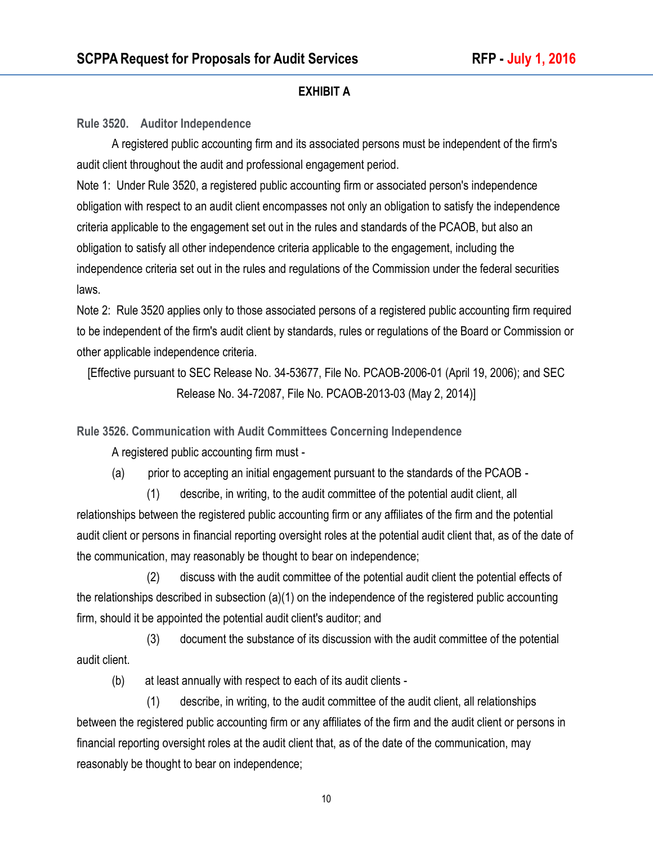#### **EXHIBIT A**

**Rule 3520. Auditor Independence**

 A registered public accounting firm and its associated persons must be independent of the firm's audit client throughout the audit and professional engagement period.

Note 1: Under Rule 3520, a registered public accounting firm or associated person's independence obligation with respect to an audit client encompasses not only an obligation to satisfy the independence criteria applicable to the engagement set out in the rules and standards of the PCAOB, but also an obligation to satisfy all other independence criteria applicable to the engagement, including the independence criteria set out in the rules and regulations of the Commission under the federal securities laws.

Note 2: Rule 3520 applies only to those associated persons of a registered public accounting firm required to be independent of the firm's audit client by standards, rules or regulations of the Board or Commission or other applicable independence criteria.

[Effective pursuant to SEC Release No. 34-53677, File No. PCAOB-2006-01 (April 19, 2006); and SEC Release No. 34-72087, File No. PCAOB-2013-03 (May 2, 2014)]

**Rule 3526. Communication with Audit Committees Concerning Independence** 

A registered public accounting firm must -

(a) prior to accepting an initial engagement pursuant to the standards of the PCAOB -

 (1) describe, in writing, to the audit committee of the potential audit client, all relationships between the registered public accounting firm or any affiliates of the firm and the potential audit client or persons in financial reporting oversight roles at the potential audit client that, as of the date of the communication, may reasonably be thought to bear on independence;

 (2) discuss with the audit committee of the potential audit client the potential effects of the relationships described in subsection (a)(1) on the independence of the registered public accounting firm, should it be appointed the potential audit client's auditor; and

 (3) document the substance of its discussion with the audit committee of the potential audit client.

(b) at least annually with respect to each of its audit clients -

 (1) describe, in writing, to the audit committee of the audit client, all relationships between the registered public accounting firm or any affiliates of the firm and the audit client or persons in financial reporting oversight roles at the audit client that, as of the date of the communication, may reasonably be thought to bear on independence;

10